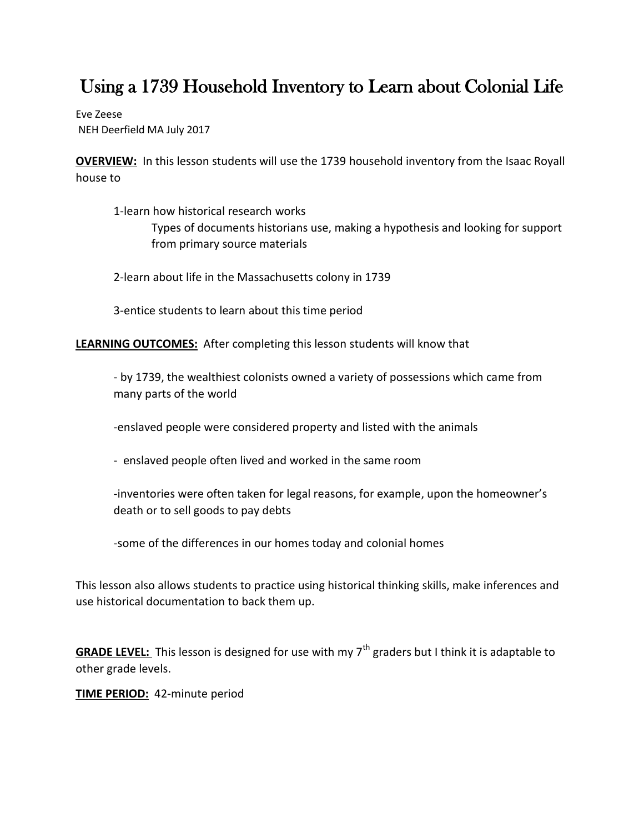# Using a 1739 Household Inventory to Learn about Colonial Life

Eve Zeese NEH Deerfield MA July 2017

**OVERVIEW:** In this lesson students will use the 1739 household inventory from the Isaac Royall house to

1-learn how historical research works Types of documents historians use, making a hypothesis and looking for support from primary source materials

2-learn about life in the Massachusetts colony in 1739

3-entice students to learn about this time period

**LEARNING OUTCOMES:** After completing this lesson students will know that

- by 1739, the wealthiest colonists owned a variety of possessions which came from many parts of the world

-enslaved people were considered property and listed with the animals

- enslaved people often lived and worked in the same room

-inventories were often taken for legal reasons, for example, upon the homeowner's death or to sell goods to pay debts

-some of the differences in our homes today and colonial homes

This lesson also allows students to practice using historical thinking skills, make inferences and use historical documentation to back them up.

**GRADE LEVEL:** This lesson is designed for use with my 7<sup>th</sup> graders but I think it is adaptable to other grade levels.

**TIME PERIOD:** 42-minute period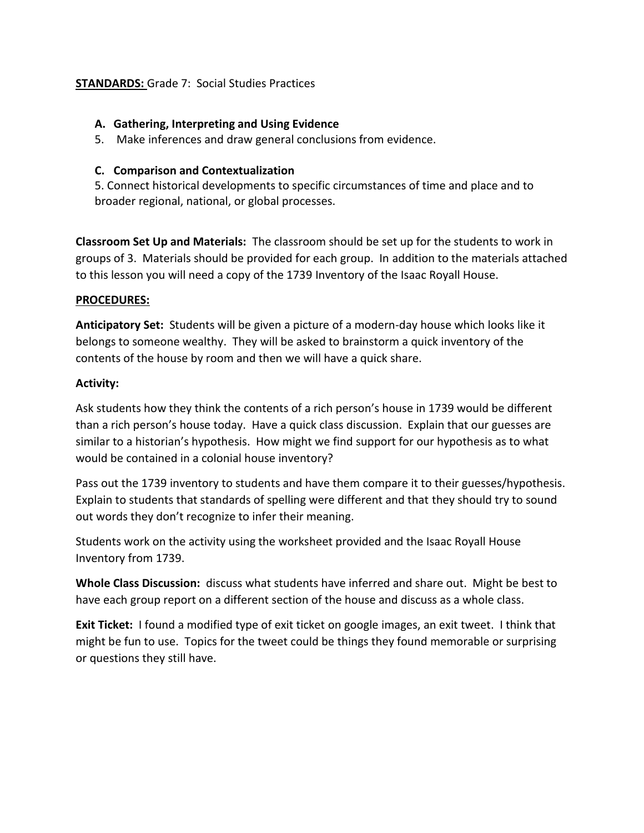## **STANDARDS:** Grade 7: Social Studies Practices

### **A. Gathering, Interpreting and Using Evidence**

5. Make inferences and draw general conclusions from evidence.

## **C. Comparison and Contextualization**

5. Connect historical developments to specific circumstances of time and place and to broader regional, national, or global processes.

**Classroom Set Up and Materials:** The classroom should be set up for the students to work in groups of 3. Materials should be provided for each group. In addition to the materials attached to this lesson you will need a copy of the 1739 Inventory of the Isaac Royall House.

### **PROCEDURES:**

**Anticipatory Set:** Students will be given a picture of a modern-day house which looks like it belongs to someone wealthy. They will be asked to brainstorm a quick inventory of the contents of the house by room and then we will have a quick share.

### **Activity:**

Ask students how they think the contents of a rich person's house in 1739 would be different than a rich person's house today. Have a quick class discussion. Explain that our guesses are similar to a historian's hypothesis. How might we find support for our hypothesis as to what would be contained in a colonial house inventory?

Pass out the 1739 inventory to students and have them compare it to their guesses/hypothesis. Explain to students that standards of spelling were different and that they should try to sound out words they don't recognize to infer their meaning.

Students work on the activity using the worksheet provided and the Isaac Royall House Inventory from 1739.

**Whole Class Discussion:** discuss what students have inferred and share out. Might be best to have each group report on a different section of the house and discuss as a whole class.

**Exit Ticket:** I found a modified type of exit ticket on google images, an exit tweet. I think that might be fun to use. Topics for the tweet could be things they found memorable or surprising or questions they still have.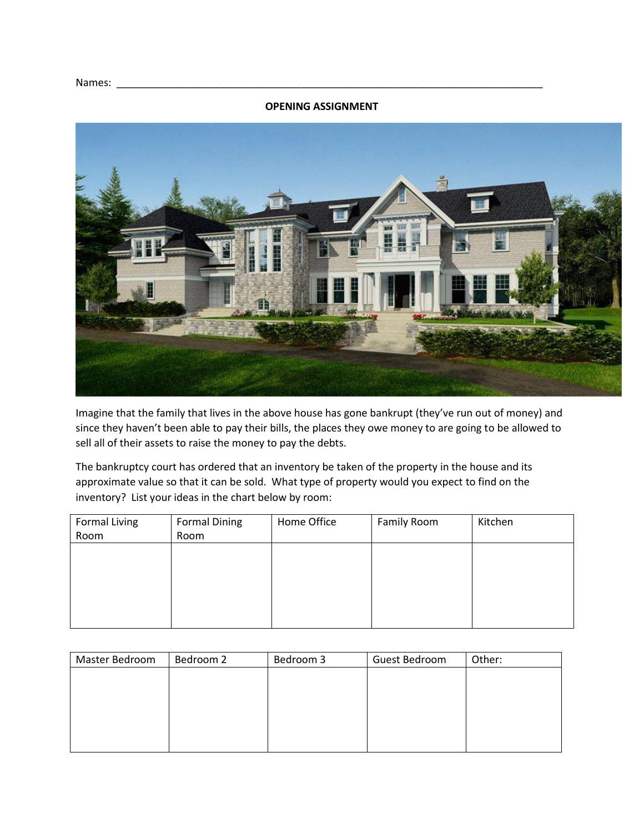#### **OPENING ASSIGNMENT**



Imagine that the family that lives in the above house has gone bankrupt (they've run out of money) and since they haven't been able to pay their bills, the places they owe money to are going to be allowed to sell all of their assets to raise the money to pay the debts.

The bankruptcy court has ordered that an inventory be taken of the property in the house and its approximate value so that it can be sold. What type of property would you expect to find on the inventory? List your ideas in the chart below by room:

| <b>Formal Living</b> | <b>Formal Dining</b> | Home Office | Family Room | Kitchen |
|----------------------|----------------------|-------------|-------------|---------|
| Room                 | Room                 |             |             |         |
|                      |                      |             |             |         |
|                      |                      |             |             |         |
|                      |                      |             |             |         |
|                      |                      |             |             |         |
|                      |                      |             |             |         |
|                      |                      |             |             |         |

| Master Bedroom | Bedroom 2 | Bedroom 3 | Guest Bedroom | Other: |
|----------------|-----------|-----------|---------------|--------|
|                |           |           |               |        |
|                |           |           |               |        |
|                |           |           |               |        |
|                |           |           |               |        |
|                |           |           |               |        |
|                |           |           |               |        |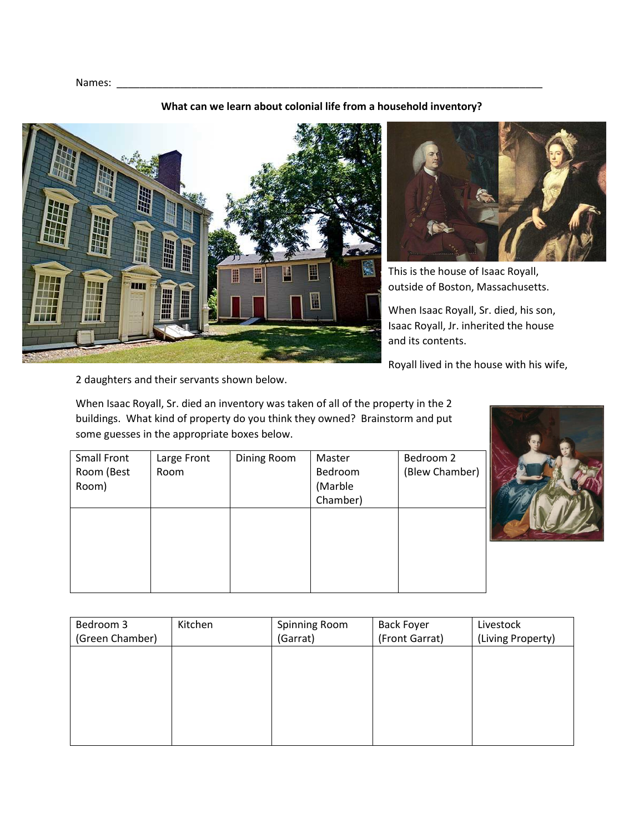#### **What can we learn about colonial life from a household inventory?**





This is the house of Isaac Royall, outside of Boston, Massachusetts.

When Isaac Royall, Sr. died, his son, Isaac Royall, Jr. inherited the house and its contents.

Royall lived in the house with his wife,

2 daughters and their servants shown below.

When Isaac Royall, Sr. died an inventory was taken of all of the property in the 2 buildings. What kind of property do you think they owned? Brainstorm and put some guesses in the appropriate boxes below.

| <b>Small Front</b> | Large Front | Dining Room | Master   | Bedroom 2      |
|--------------------|-------------|-------------|----------|----------------|
| Room (Best         | Room        |             | Bedroom  | (Blew Chamber) |
| Room)              |             |             | (Marble  |                |
|                    |             |             | Chamber) |                |
|                    |             |             |          |                |
|                    |             |             |          |                |
|                    |             |             |          |                |
|                    |             |             |          |                |
|                    |             |             |          |                |
|                    |             |             |          |                |



| Bedroom 3       | Kitchen | Spinning Room | <b>Back Foyer</b> | Livestock         |
|-----------------|---------|---------------|-------------------|-------------------|
| (Green Chamber) |         | (Garrat)      | (Front Garrat)    | (Living Property) |
|                 |         |               |                   |                   |
|                 |         |               |                   |                   |
|                 |         |               |                   |                   |
|                 |         |               |                   |                   |
|                 |         |               |                   |                   |
|                 |         |               |                   |                   |
|                 |         |               |                   |                   |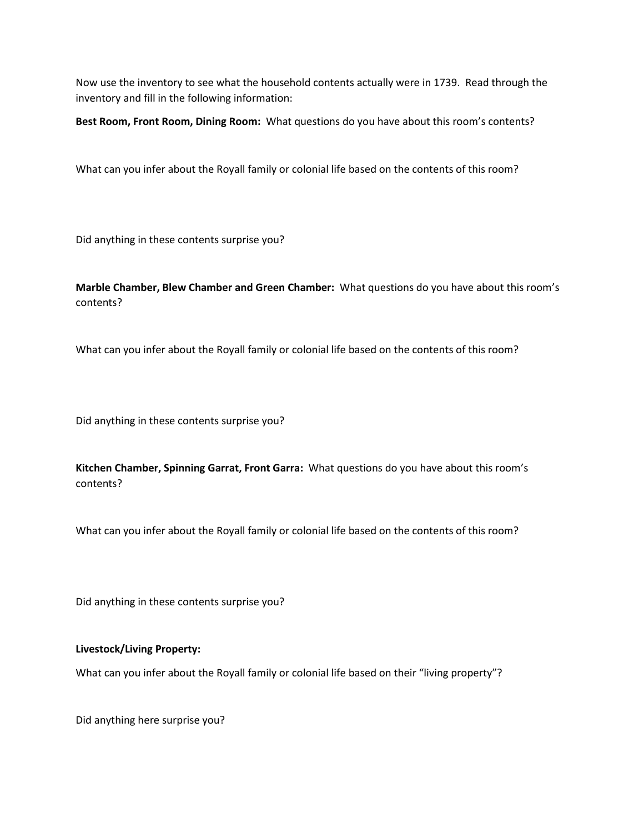Now use the inventory to see what the household contents actually were in 1739. Read through the inventory and fill in the following information:

**Best Room, Front Room, Dining Room:** What questions do you have about this room's contents?

What can you infer about the Royall family or colonial life based on the contents of this room?

Did anything in these contents surprise you?

**Marble Chamber, Blew Chamber and Green Chamber:** What questions do you have about this room's contents?

What can you infer about the Royall family or colonial life based on the contents of this room?

Did anything in these contents surprise you?

**Kitchen Chamber, Spinning Garrat, Front Garra:** What questions do you have about this room's contents?

What can you infer about the Royall family or colonial life based on the contents of this room?

Did anything in these contents surprise you?

#### **Livestock/Living Property:**

What can you infer about the Royall family or colonial life based on their "living property"?

Did anything here surprise you?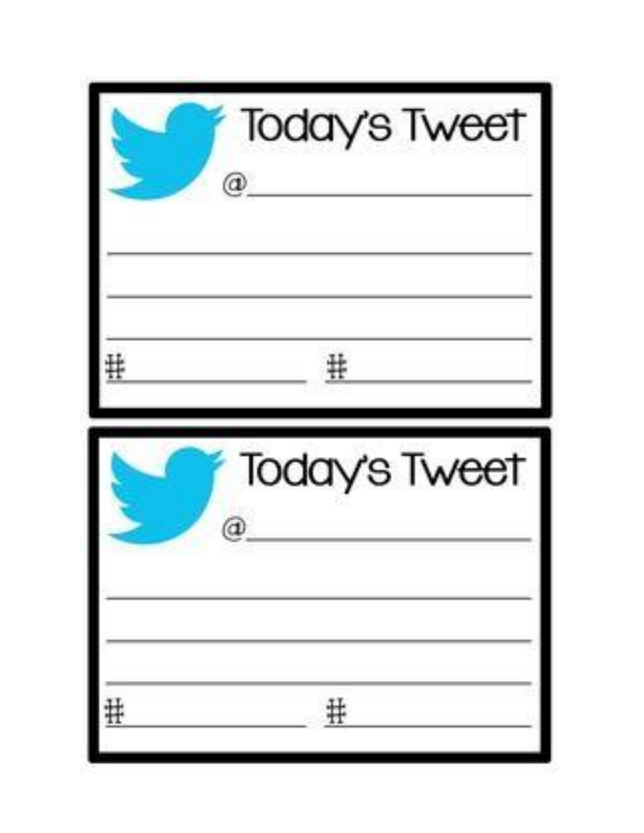| Today's Tweet<br>@ |
|--------------------|
| #                  |
| Today's Tweet      |
|                    |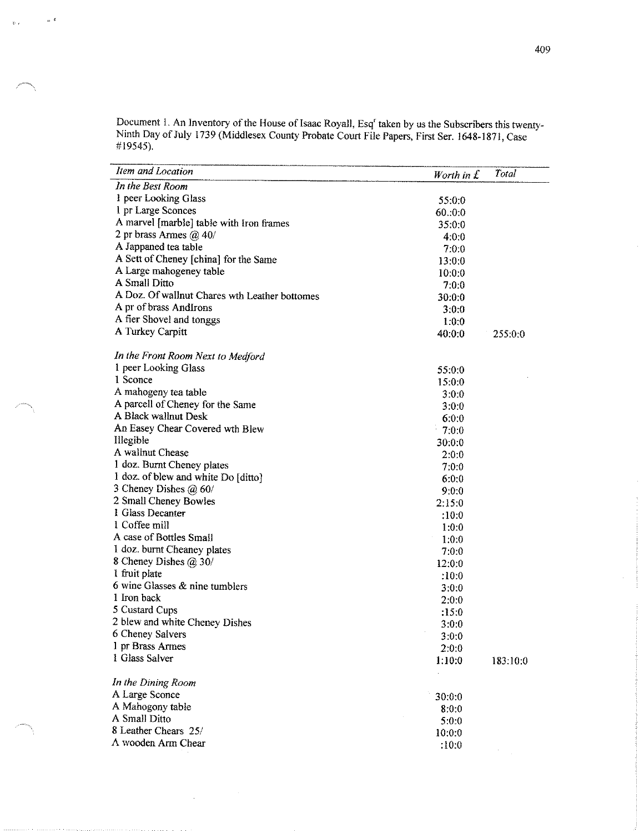Document 1. An Inventory of the House of Isaac Royall, Esq<sup>r</sup> taken by us the Subscribers this twenty-<br>Ninth Day of July 1739 (Middlesex County Probate Court File Papers, First Ser. 1648-1871, Case #19545).

 $_{\infty}$   $\epsilon$ 

 $\mathbb{R}^d$  .

| Item and Location                             | Worth in $\mathcal{I}$ | Total    |
|-----------------------------------------------|------------------------|----------|
| In the Best Room                              |                        |          |
| 1 peer Looking Glass                          | 55:0.0                 |          |
| 1 pr Large Sconces                            | 60:0.0                 |          |
| A marvel [marble] table with Iron frames      | 35:0:0                 |          |
| 2 pr brass Armes $\omega$ 40/                 | 4:0.0                  |          |
| A Jappaned tea table                          | 7.0.0                  |          |
| A Sett of Cheney [china] for the Same         | 13:0.0                 |          |
| A Large mahogeney table                       | 10:0:0                 |          |
| A Small Ditto                                 | 7.0.0                  |          |
| A Doz. Of wallnut Chares wth Leather bottomes | 30:0:0                 |          |
| A pr of brass AndIrons                        | 3:0:0                  |          |
| A fier Shovel and tonggs                      | 1:0.0                  |          |
| A Turkey Carpitt                              | 40.0.0                 | 255:0:0  |
| In the Front Room Next to Medford             |                        |          |
| 1 peer Looking Glass                          | 55:0.0                 |          |
| 1 Sconce                                      | 15:0:0                 |          |
| A mahogeny tea table                          | 3:0:0                  |          |
| A parcell of Cheney for the Same              | 3.0.0                  |          |
| A Black wallnut Desk                          | 6.0.0                  |          |
| An Easey Chear Covered wth Blew               | 7:0:0                  |          |
| Illegible                                     | 30:0:0                 |          |
| A wallnut Chease                              | 2.0.0                  |          |
| 1 doz. Burnt Cheney plates                    | 7.0:0                  |          |
| 1 doz. of blew and white Do [ditto]           | 6:0:0                  |          |
| 3 Cheney Dishes $\omega$ 60/                  | 9:0:0                  |          |
| 2 Small Cheney Bowles                         | 2:15.0                 |          |
| 1 Glass Decanter                              | :10:0                  |          |
| 1 Coffee mill                                 | 1:0:0                  |          |
| A case of Bottles Small                       | 1.0.0                  |          |
| 1 doz. burnt Cheaney plates                   | 7.0:0                  |          |
| 8 Cheney Dishes $\omega$ 30/                  | 12:0:0                 |          |
| 1 fruit plate                                 | :10:0                  |          |
| 6 wine Glasses & nine tumblers                | 3.0:0                  |          |
| 1 Iron back                                   | 2.0:0                  |          |
| 5 Custard Cups                                | :15:0                  |          |
| 2 blew and white Cheney Dishes                | 3:0:0                  |          |
| 6 Cheney Salvers                              | 3.0:0                  |          |
| 1 pr Brass Armes                              | 2:0:0                  |          |
| 1 Glass Salver                                | 1:10:0                 | 183:10:0 |
| In the Dining Room                            |                        |          |
| A Large Sconce                                | 30:0:0                 |          |
| A Mahogony table                              | 8:0:0                  |          |
| A Small Ditto                                 | 5.0:0                  |          |
| 8 Leather Chears 25/                          | 10:0:0                 |          |
| A wooden Arm Chear                            | :10:0                  |          |
|                                               |                        |          |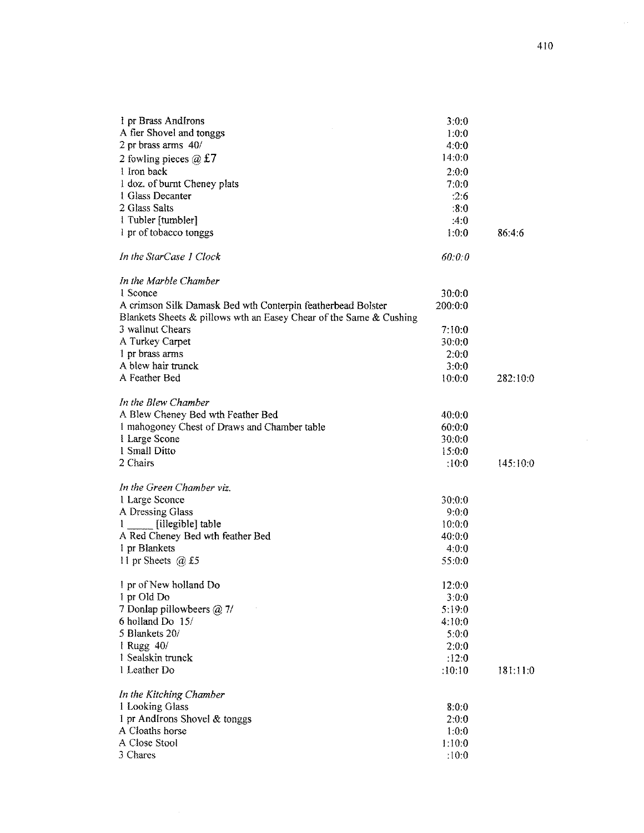| 1 pr Brass AndIrons                                                | 3:0:0   |          |
|--------------------------------------------------------------------|---------|----------|
| A fier Shovel and tonggs                                           | 1:0:0   |          |
| 2 pr brass arms 40/                                                | 4:0:0   |          |
| 2 fowling pieces $\omega$ £7                                       | 14:0:0  |          |
| 1 Iron back                                                        | 2:0:0   |          |
| 1 doz. of burnt Cheney plats                                       | 7:0:0   |          |
| 1 Glass Decanter                                                   | :2:6    |          |
| 2 Glass Salts                                                      | :8:0    |          |
| 1 Tubler [tumbler]                                                 | :4:0    |          |
| 1 pr of tobacco tonggs                                             | 1:0:0   | 86:4:6   |
| In the StarCase 1 Clock                                            | 60:0:0  |          |
| In the Marble Chamber                                              |         |          |
| 1 Sconce                                                           | 30:0:0  |          |
| A crimson Silk Damask Bed wth Conterpin featherbead Bolster        | 200:0:0 |          |
| Blankets Sheets & pillows wth an Easey Chear of the Same & Cushing |         |          |
| 3 wallnut Chears                                                   | 7:10:0  |          |
| A Turkey Carpet                                                    | 30:0:0  |          |
| 1 pr brass arms                                                    | 2:0:0   |          |
| A blew hair trunck                                                 | 3:0:0   |          |
| A Feather Bed                                                      | 10:0:0  | 282:10:0 |
|                                                                    |         |          |
| In the Blew Chamber                                                |         |          |
| A Blew Cheney Bed wth Feather Bed                                  | 40:0:0  |          |
| 1 mahogoney Chest of Draws and Chamber table                       | 60:0:0  |          |
| I Large Scone                                                      | 30:0:0  |          |
| 1 Small Ditto                                                      | 15:0:0  |          |
| 2 Chairs                                                           | :10:0   | 145:10:0 |
|                                                                    |         |          |
| In the Green Chamber viz.                                          |         |          |
| 1 Large Sconce                                                     | 30:0:0  |          |
| A Dressing Glass                                                   | 9:0:0   |          |
| [illegible] table                                                  | 10:0:0  |          |
| A Red Cheney Bed wth feather Bed                                   | 40:0:0  |          |
| 1 pr Blankets                                                      | 4:0:0   |          |
| 11 pr Sheets $@$ £5                                                | 55:0:0  |          |
| 1 pr of New holland Do                                             | 12:0:0  |          |
| 1 pr Old Do                                                        | 3:0:0   |          |
| 7 Donlap pillowbeers @ 7/                                          | 5.19:0  |          |
| 6 holland Do 15/                                                   | 4:10:0  |          |
| 5 Blankets 20/                                                     | 5:0:0   |          |
| 1 Rugg 40/                                                         | 2:0:0   |          |
| 1 Sealskin trunck                                                  | :12:0   |          |
| 1 Leather Do                                                       | :10:10  | 181:11:0 |
| In the Kitching Chamber                                            |         |          |
| 1 Looking Glass                                                    | 8:0:0   |          |
| 1 pr AndIrons Shovel & tonggs                                      | 2:0:0   |          |
| A Cloaths horse                                                    | 1:0:0   |          |
| A Close Stool                                                      | 1:10:0  |          |
| 3 Chares                                                           | :10:0   |          |
|                                                                    |         |          |

 $\hat{\psi}$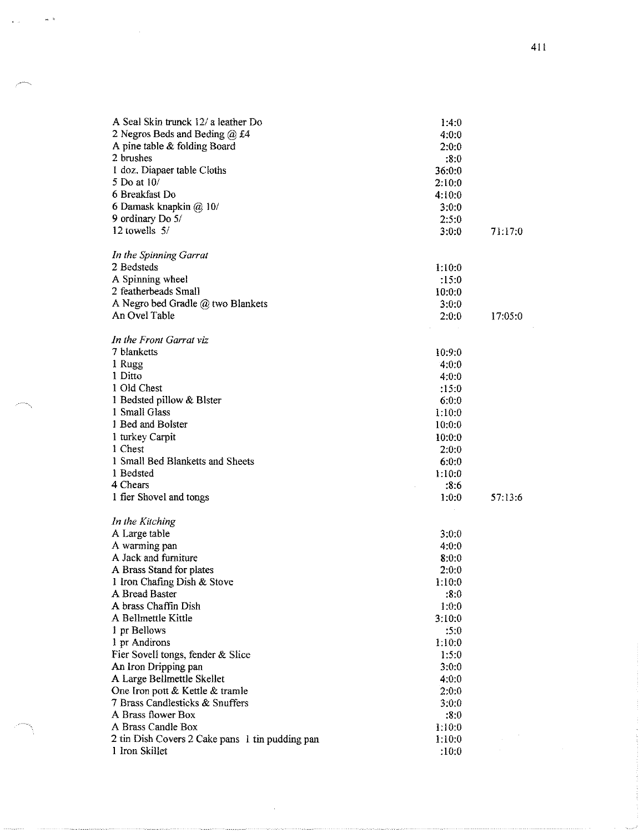| A Seal Skin trunck 12/ a leather Do                                                         | 1:4:0                    |         |
|---------------------------------------------------------------------------------------------|--------------------------|---------|
| 2 Negros Beds and Beding @ £4                                                               | 4:0:0                    |         |
| A pine table & folding Board                                                                | 2:0:0                    |         |
| 2 brushes                                                                                   | :8:0                     |         |
| 1 doz. Diapaer table Cloths                                                                 | 36.0:0                   |         |
| 5 Do at 10/                                                                                 | 2:10:0                   |         |
| 6 Breakfast Do                                                                              | 4:10:0                   |         |
| 6 Damask knapkin @ 10/                                                                      | 3:0:0                    |         |
| 9 ordinary Do 5/                                                                            | 2.5:0                    |         |
| 12 towells 5/                                                                               | 3:0:0                    | 71:17:0 |
|                                                                                             |                          |         |
| In the Spinning Garrat<br>2 Bedsteds                                                        |                          |         |
|                                                                                             | 1:10:0                   |         |
| A Spinning wheel<br>2 featherbeads Small                                                    | :15:0                    |         |
|                                                                                             | 10:0:0                   |         |
| A Negro bed Gradle @ two Blankets<br>An Ovel Table                                          | 3.0:0                    |         |
|                                                                                             | 2:0:0                    | 17:05:0 |
| In the Front Garrat viz                                                                     |                          |         |
| 7 blanketts                                                                                 | 10.9:0                   |         |
| 1 Rugg                                                                                      | 4:0:0                    |         |
| 1 Ditto                                                                                     | 4:0:0                    |         |
| 1 Old Chest                                                                                 | :15:0                    |         |
| 1 Bedsted pillow & Blster                                                                   | 6:0:0                    |         |
| 1 Small Glass                                                                               | 1:10:0                   |         |
| 1 Bed and Bolster                                                                           | 10:0:0                   |         |
| 1 turkey Carpit                                                                             | 10:0:0                   |         |
| 1 Chest                                                                                     | 2:0:0                    |         |
| 1 Small Bed Blanketts and Sheets                                                            | 6:0:0                    |         |
| 1 Bedsted                                                                                   | 1:10:0                   |         |
| 4 Chears                                                                                    | :8:6                     |         |
| 1 fier Shovel and tongs                                                                     | 1:0:0                    | 57:13:6 |
|                                                                                             |                          |         |
| In the Kitching                                                                             |                          |         |
| A Large table                                                                               | 3:0:0                    |         |
| A warming pan                                                                               | 4:0:0                    |         |
| A Jack and furniture                                                                        | 8.0:0                    |         |
| A Brass Stand for plates                                                                    | 2.0:0                    |         |
| 1 Iron Chafing Dish & Stove                                                                 | 1:10:0                   |         |
| A Bread Baster<br>A brass Chaffin Dish                                                      | :8:0                     |         |
| A Bellmettle Kittle                                                                         | 1:0:0<br>3:10:0          |         |
| 1 pr Bellows                                                                                | :5:0                     |         |
| 1 pr Andirons                                                                               |                          |         |
| Fier Sovell tongs, fender & Slice                                                           | 1:10:0<br>1.5:0          |         |
| An Iron Dripping pan                                                                        | 3:0:0                    |         |
|                                                                                             | 4:0:0                    |         |
| A Large Bellmettle Skellet<br>One Iron pott & Kettle & tramle                               | 2:0:0                    |         |
| 7 Brass Candlesticks & Snuffers                                                             | 3:0:0                    |         |
|                                                                                             |                          |         |
|                                                                                             |                          |         |
|                                                                                             |                          |         |
|                                                                                             |                          |         |
| A Brass flower Box<br>A Brass Candle Box<br>2 tin Dish Covers 2 Cake pans 1 tin pudding pan | :8:0<br>1:10:0<br>1:10:0 |         |
| 1 Iron Skillet                                                                              | :10:0                    |         |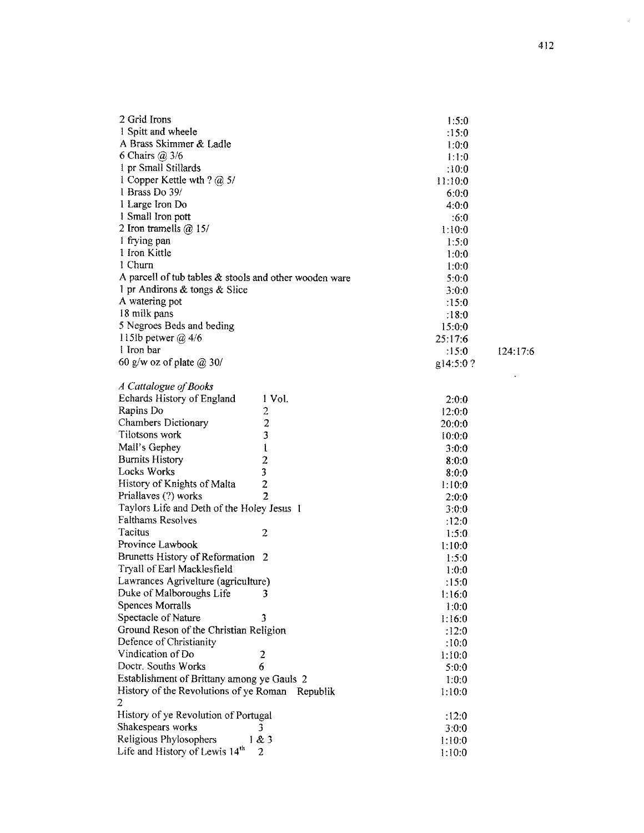| 2 Grid Irons                                           | 1:5:0    |          |
|--------------------------------------------------------|----------|----------|
| 1 Spitt and wheele                                     | :15:0    |          |
| A Brass Skimmer & Ladle                                | 1:0:0    |          |
| 6 Chairs $(a)$ 3/6                                     | 1:1:0    |          |
| 1 pr Small Stillards                                   | :10:0    |          |
| 1 Copper Kettle wth ? $@$ 5/                           | 11.10:0  |          |
| 1 Brass Do 39/                                         | 6:0:0    |          |
| 1 Large Iron Do                                        | 4:0:0    |          |
| 1 Small Iron pott                                      | :6:0     |          |
| 2 Iron tramells $@$ 15/                                | 1.10:0   |          |
| I frying pan                                           | 1:5:0    |          |
| 1 Iron Kittle                                          | 1:0:0    |          |
| 1 Churn                                                | 1:0:0    |          |
| A parcell of tub tables & stools and other wooden ware | 5:0:0    |          |
| 1 pr Andirons & tongs & Slice                          | 3:0:0    |          |
| A watering pot                                         | .15:0    |          |
| 18 milk pans                                           | .18:0    |          |
| 5 Negroes Beds and beding                              | 15:0:0   |          |
| 115lb petwer $\omega$ 4/6                              | 25:17:6  |          |
| 1 Iron bar                                             | :15:0    | 124.17:6 |
| 60 g/w oz of plate $\omega$ 30/                        | g14:5:0? |          |
|                                                        |          |          |

| 124.17:6 |  |  |
|----------|--|--|
|          |  |  |

| A Cattalogue of Books                           |                         |        |
|-------------------------------------------------|-------------------------|--------|
| Echards History of England                      | 1 Vol.                  | 2:0:0  |
| Rapins Do                                       | 2                       | 12:0:0 |
| <b>Chambers Dictionary</b>                      | $\overline{c}$          | 20:0:0 |
| Tilotsons work                                  | 3                       | 10:0:0 |
| Mall's Gephey                                   | $\frac{1}{2}$           | 3:0:0  |
| <b>Burnits History</b>                          |                         | 8:0:0  |
| <b>Locks Works</b>                              | $\overline{\mathbf{3}}$ | 8:0:0  |
| History of Knights of Malta                     | $\overline{c}$          | 1:10:0 |
| Priallaves (?) works                            | $\overline{2}$          | 2:0:0  |
| Taylors Life and Deth of the Holey Jesus 1      |                         | 3:0:0  |
| <b>Falthams Resolves</b>                        |                         | :12:0  |
| Tacitus                                         | $\overline{2}$          | 1:5:0  |
| Province Lawbook                                |                         | 1:10:0 |
| <b>Brunetts History of Reformation</b>          | -2                      | 1:5:0  |
| Tryall of Earl Macklesfield                     |                         | 1:0:0  |
| Lawrances Agrivelture (agriculture)             |                         | :15:0  |
| Duke of Malboroughs Life                        | 3                       | 1:16:0 |
| <b>Spences Morralls</b>                         |                         | 1:0:0  |
| Spectacle of Nature                             | 3                       | 1:16:0 |
| Ground Reson of the Christian Religion          |                         | :12:0  |
| Defence of Christianity                         |                         | :10:0  |
| Vindication of Do                               | 2                       | 1:10:0 |
| Doctr. Souths Works                             | 6                       | 5:0:0  |
| Establishment of Brittany among ye Gauls 2      |                         | 1:0:0  |
| History of the Revolutions of ye Roman Republik |                         | 1:10:0 |
| 2                                               |                         |        |
| History of ye Revolution of Portugal            |                         | :12:0  |
| Shakespears works                               | 3                       | 3:0:0  |
| Religious Phylosophers                          | 1 & 3                   | 1:10:0 |
| Life and History of Lewis 14 <sup>th</sup>      | 2                       | 1:10:0 |
|                                                 |                         |        |

 $\langle \sigma \rangle$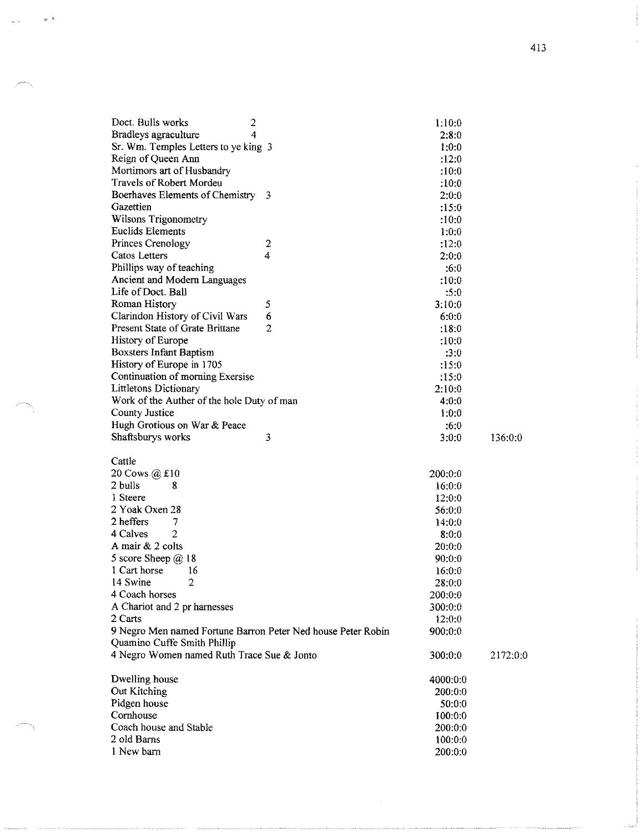| Doct. Bulls works<br>2                                       |                         | 1:10:0   |          |
|--------------------------------------------------------------|-------------------------|----------|----------|
| Bradleys agraculture<br>4                                    |                         | 2:8:0    |          |
| Sr. Wm. Temples Letters to ye king 3                         |                         | 1:0:0    |          |
| Reign of Queen Ann                                           |                         | :12:0    |          |
| Mortimors art of Husbandry                                   |                         | :10:0    |          |
| <b>Travels of Robert Mordeu</b>                              |                         | :10:0    |          |
| Boerhaves Elements of Chemistry 3                            |                         | 2:0:0    |          |
| Gazettien                                                    |                         | :15:0    |          |
| <b>Wilsons Trigonometry</b>                                  |                         | :10:0    |          |
| <b>Euclids Elements</b>                                      |                         | 1:0:0    |          |
| Princes Crenology                                            | $\overline{\mathbf{c}}$ | :12:0    |          |
| Catos Letters                                                | 4                       | 2:0:0    |          |
| Phillips way of teaching                                     |                         | :6:0     |          |
| Ancient and Modern Languages                                 |                         | :10:0    |          |
| Life of Doct. Ball                                           |                         | :5:0     |          |
| Roman History                                                | 5                       | 3:10:0   |          |
| Clarindon History of Civil Wars                              | 6                       | 6:0:0    |          |
| Present State of Grate Brittane                              | $\overline{2}$          | :18:0    |          |
| History of Europe                                            |                         | :10:0    |          |
| <b>Boxsters Infant Baptism</b>                               |                         | :3:0     |          |
| History of Europe in 1705                                    |                         | :15:0    |          |
| Continuation of morning Exersise                             |                         | :15:0    |          |
| Littletons Dictionary                                        |                         | 2:10:0   |          |
| Work of the Auther of the hole Duty of man                   |                         | 4:0:0    |          |
| County Justice                                               |                         | 1:0:0    |          |
| Hugh Grotious on War & Peace                                 |                         | :6:0     |          |
| Shaftsburys works                                            | 3                       | 3:0:0    | 136:0.0  |
| Cattle                                                       |                         |          |          |
| 20 Cows @ £10                                                |                         | 200.0:0  |          |
| 2 bulls<br>8                                                 |                         | 16:0:0   |          |
| 1 Steere                                                     |                         | 12:0:0   |          |
| 2 Yoak Oxen 28                                               |                         | 56:0:0   |          |
| 2 heffers<br>7                                               |                         | 14.0:0   |          |
| $\overline{2}$<br>4 Calves                                   |                         | 8:0:0    |          |
| A mair $& 2$ colts                                           |                         | 20:0:0   |          |
| 5 score Sheep @ 18                                           |                         | 90:0:0   |          |
| 1 Cart horse<br>16                                           |                         | 16.0:0   |          |
| $\overline{2}$<br>14 Swine                                   |                         | 28:0:0   |          |
| 4 Coach horses                                               |                         | 200:0:0  |          |
| A Chariot and 2 pr harnesses                                 |                         | 300:0:0  |          |
| 2 Carts                                                      |                         | 12:0:0   |          |
| 9 Negro Men named Fortune Barron Peter Ned house Peter Robin |                         | 900:0:0  |          |
| Quamino Cuffe Smith Phillip                                  |                         |          |          |
| 4 Negro Women named Ruth Trace Sue & Jonto                   |                         | 300.0.0  | 2172:0:0 |
| Dwelling house                                               |                         | 4000:0:0 |          |
| Out Kitching                                                 |                         | 200:0:0  |          |
| Pidgen house                                                 |                         | 50:0:0   |          |
| Cornhouse                                                    |                         | 100:0:0  |          |
|                                                              |                         |          |          |
| Coach house and Stable                                       |                         | 200:0:0  |          |

 $200:0:0$ 

 $\mathcal{O}^{(1)}$ 

1 New barn

 $\bar{q}_2$  .  $\bar{z}$ 

413